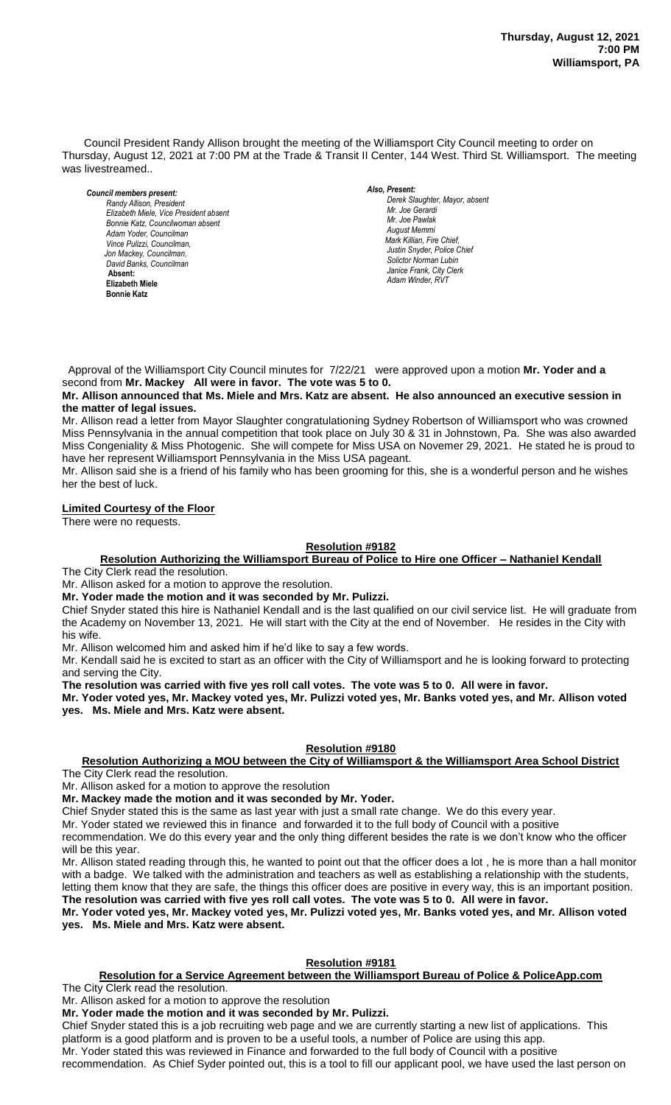Council President Randy Allison brought the meeting of the Williamsport City Council meeting to order on Thursday, August 12, 2021 at 7:00 PM at the Trade & Transit II Center, 144 West. Third St. Williamsport. The meeting was livestreamed..

#### *Council members present: Randy Allison, President , President Elizabeth Miele, Vice President absent Bill Hall, Councilman Bonnie Katz, Councilwoman absent Adam Yoder, Councilman Vince Pulizzi, Councilman, Jon Mackey, Councilman, David Banks, Councilman*  **Absent: Elizabeth Miele Bonnie Katz**

### *Also, Present:*

*Derek Slaughter, Mayor, absent Mr. William Nichols, Jr. Mr. Joe Gerardi Mr. Joseph Pawlak Mr. Joe Pawlak August Memmi Mark Killian, Fire Chief,* Justin Snyder, Police Chief *Solictor Norman Lubin Janice Frank, City Clerk Adam Winder, RVT* 

 Approval of the Williamsport City Council minutes for 7/22/21 were approved upon a motion **Mr. Yoder and a** second from **Mr. Mackey All were in favor. The vote was 5 to 0.** 

**Mr. Allison announced that Ms. Miele and Mrs. Katz are absent. He also announced an executive session in**  *.*  **the matter of legal issues.**

Mr. Allison read a letter from Mayor Slaughter congratulationing Sydney Robertson of Williamsport who was crowned  *Mr. Gary Knarr*  Miss Pennsylvania in the annual competition that took place on July 30 & 31 in Johnstown, Pa. She was also awarded Miss Congeniality & Miss Photogenic. She will compete for Miss USA on Novemer 29, 2021. He stated he is proud to have her represent Williamsport Pennsylvania in the Miss USA pageant.  *Sol. J. David Smith*

Mr. Allison said she is a friend of his family who has been grooming for this, she is a wonderful person and he wishes *Todd Heckman, Fire Chief ,*  her the best of luck.

# **Limited Courtesy of the Floor**

There were no requests.

## **Resolution #9182**

**Resolution Authorizing the Williamsport Bureau of Police to Hire one Officer – Nathaniel Kendall** *Members of News Media Members of the news media*

The City Clerk read the resolution.

Mr. Allison asked for a motion to approve the resolution.

**Mr. Yoder made the motion and it was seconded by Mr. Pulizzi.**

Chief Snyder stated this hire is Nathaniel Kendall and is the last qualified on our civil service list. He will graduate from the Academy on November 13, 2021. He will start with the City at the end of November. He resides in the City with his wife.

Mr. Allison welcomed him and asked him if he'd like to say a few words.

Mr. Kendall said he is excited to start as an officer with the City of Williamsport and he is looking forward to protecting and serving the City.

**The resolution was carried with five yes roll call votes. The vote was 5 to 0. All were in favor.**

**Mr. Yoder voted yes, Mr. Mackey voted yes, Mr. Pulizzi voted yes, Mr. Banks voted yes, and Mr. Allison voted yes. Ms. Miele and Mrs. Katz were absent.**

# **Resolution #9180**

#### **Resolution Authorizing a MOU between the City of Williamsport & the Williamsport Area School District** The City Clerk read the resolution.

Mr. Allison asked for a motion to approve the resolution

**Mr. Mackey made the motion and it was seconded by Mr. Yoder.**

Chief Snyder stated this is the same as last year with just a small rate change. We do this every year.

Mr. Yoder stated we reviewed this in finance and forwarded it to the full body of Council with a positive

recommendation. We do this every year and the only thing different besides the rate is we don't know who the officer will be this year.

Mr. Allison stated reading through this, he wanted to point out that the officer does a lot , he is more than a hall monitor with a badge. We talked with the administration and teachers as well as establishing a relationship with the students, letting them know that they are safe, the things this officer does are positive in every way, this is an important position. **The resolution was carried with five yes roll call votes. The vote was 5 to 0. All were in favor.**

**Mr. Yoder voted yes, Mr. Mackey voted yes, Mr. Pulizzi voted yes, Mr. Banks voted yes, and Mr. Allison voted yes. Ms. Miele and Mrs. Katz were absent.**

# **Resolution #9181**

# **Resolution for a Service Agreement between the Williamsport Bureau of Police & PoliceApp.com**

The City Clerk read the resolution.

Mr. Allison asked for a motion to approve the resolution

**Mr. Yoder made the motion and it was seconded by Mr. Pulizzi.**

Chief Snyder stated this is a job recruiting web page and we are currently starting a new list of applications. This platform is a good platform and is proven to be a useful tools, a number of Police are using this app.

Mr. Yoder stated this was reviewed in Finance and forwarded to the full body of Council with a positive

recommendation. As Chief Syder pointed out, this is a tool to fill our applicant pool, we have used the last person on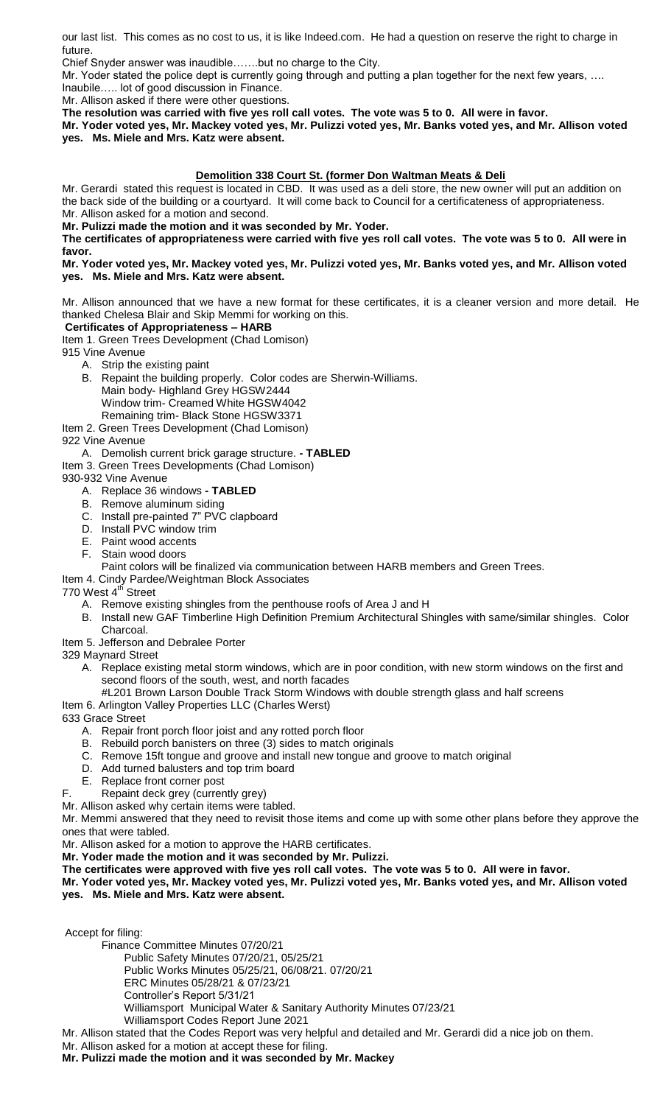our last list. This comes as no cost to us, it is like Indeed.com. He had a question on reserve the right to charge in future.

Chief Snyder answer was inaudible…….but no charge to the City.

Mr. Yoder stated the police dept is currently going through and putting a plan together for the next few years, …. Inaubile….. lot of good discussion in Finance.

Mr. Allison asked if there were other questions.

**The resolution was carried with five yes roll call votes. The vote was 5 to 0. All were in favor.**

**Mr. Yoder voted yes, Mr. Mackey voted yes, Mr. Pulizzi voted yes, Mr. Banks voted yes, and Mr. Allison voted yes. Ms. Miele and Mrs. Katz were absent.**

## **Demolition 338 Court St. (former Don Waltman Meats & Deli**

Mr. Gerardi stated this request is located in CBD. It was used as a deli store, the new owner will put an addition on the back side of the building or a courtyard. It will come back to Council for a certificateness of appropriateness. Mr. Allison asked for a motion and second.

**Mr. Pulizzi made the motion and it was seconded by Mr. Yoder.**

**The certificates of appropriateness were carried with five yes roll call votes. The vote was 5 to 0. All were in favor.**

#### **Mr. Yoder voted yes, Mr. Mackey voted yes, Mr. Pulizzi voted yes, Mr. Banks voted yes, and Mr. Allison voted yes. Ms. Miele and Mrs. Katz were absent.**

Mr. Allison announced that we have a new format for these certificates, it is a cleaner version and more detail. He thanked Chelesa Blair and Skip Memmi for working on this.

## **Certificates of Appropriateness – HARB**

Item 1. Green Trees Development (Chad Lomison)

915 Vine Avenue

- A. Strip the existing paint
- B. Repaint the building properly. Color codes are Sherwin-Williams. Main body- Highland Grey HGSW2444 Window trim- Creamed White HGSW4042 Remaining trim- Black Stone HGSW3371
- Item 2. Green Trees Development (Chad Lomison)
- 922 Vine Avenue
	- A. Demolish current brick garage structure. **- TABLED**
- Item 3. Green Trees Developments (Chad Lomison)
- 930-932 Vine Avenue
	- A. Replace 36 windows **- TABLED**
	- B. Remove aluminum siding
	- C. Install pre-painted 7" PVC clapboard
	- D. Install PVC window trim
	- E. Paint wood accents
	- F. Stain wood doors
		- Paint colors will be finalized via communication between HARB members and Green Trees.

### Item 4. Cindy Pardee/Weightman Block Associates

- 770 West 4<sup>th</sup> Street
	- A. Remove existing shingles from the penthouse roofs of Area J and H
	- B. Install new GAF Timberline High Definition Premium Architectural Shingles with same/similar shingles. Color Charcoal.
- Item 5. Jefferson and Debralee Porter
- 329 Maynard Street
	- A. Replace existing metal storm windows, which are in poor condition, with new storm windows on the first and second floors of the south, west, and north facades
	- #L201 Brown Larson Double Track Storm Windows with double strength glass and half screens
- Item 6. Arlington Valley Properties LLC (Charles Werst)

633 Grace Street

- A. Repair front porch floor joist and any rotted porch floor
- B. Rebuild porch banisters on three (3) sides to match originals
- C. Remove 15ft tongue and groove and install new tongue and groove to match original
- D. Add turned balusters and top trim board
- E. Replace front corner post
- F. Repaint deck grey (currently grey)
- Mr. Allison asked why certain items were tabled.

Mr. Memmi answered that they need to revisit those items and come up with some other plans before they approve the ones that were tabled.

Mr. Allison asked for a motion to approve the HARB certificates.

**Mr. Yoder made the motion and it was seconded by Mr. Pulizzi.**

**The certificates were approved with five yes roll call votes. The vote was 5 to 0. All were in favor.**

**Mr. Yoder voted yes, Mr. Mackey voted yes, Mr. Pulizzi voted yes, Mr. Banks voted yes, and Mr. Allison voted yes. Ms. Miele and Mrs. Katz were absent.**

Accept for filing:

Finance Committee Minutes 07/20/21

Public Safety Minutes 07/20/21, 05/25/21

Public Works Minutes 05/25/21, 06/08/21. 07/20/21

- ERC Minutes 05/28/21 & 07/23/21
- Controller's Report 5/31/21
- Williamsport Municipal Water & Sanitary Authority Minutes 07/23/21
- Williamsport Codes Report June 2021
- Mr. Allison stated that the Codes Report was very helpful and detailed and Mr. Gerardi did a nice job on them.
- Mr. Allison asked for a motion at accept these for filing.
- **Mr. Pulizzi made the motion and it was seconded by Mr. Mackey**